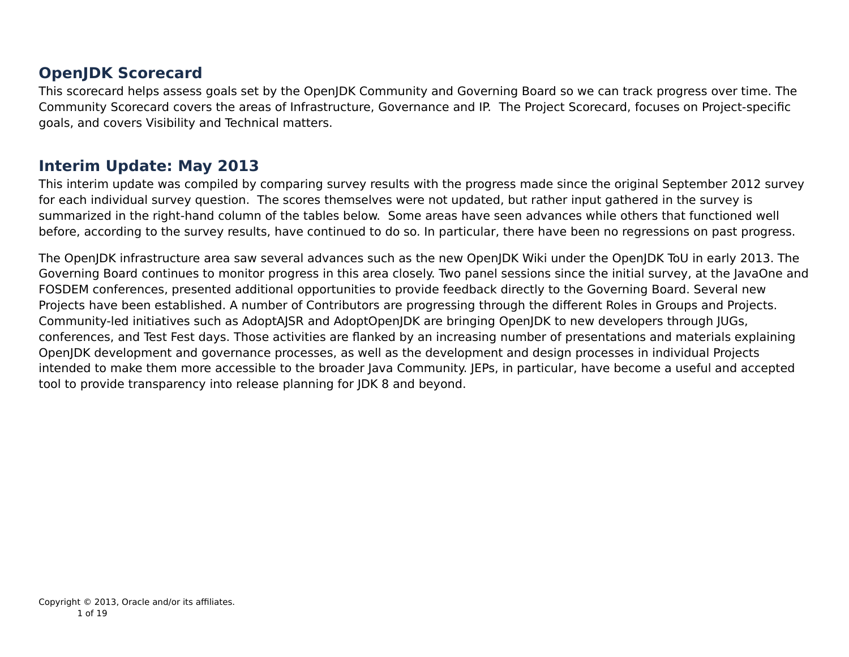### **OpenJDK Scorecard**

This scorecard helps assess goals set by the OpenJDK Community and Governing Board so we can track progress over time. The Community Scorecard covers the areas of Infrastructure, Governance and IP. The Project Scorecard, focuses on Project-specific goals, and covers Visibility and Technical matters.

#### **Interim Update: May 2013**

This interim update was compiled by comparing survey results with the progress made since the original September 2012 survey for each individual survey question. The scores themselves were not updated, but rather input gathered in the survey is summarized in the right-hand column of the tables below. Some areas have seen advances while others that functioned well before, according to the survey results, have continued to do so. In particular, there have been no regressions on past progress.

The OpenJDK infrastructure area saw several advances such as the new OpenJDK Wiki under the OpenJDK ToU in early 2013. The Governing Board continues to monitor progress in this area closely. Two panel sessions since the initial survey, at the JavaOne and FOSDEM conferences, presented additional opportunities to provide feedback directly to the Governing Board. Several new Projects have been established. A number of Contributors are progressing through the different Roles in Groups and Projects. Community-led initiatives such as AdoptAJSR and AdoptOpenJDK are bringing OpenJDK to new developers through JUGs, conferences, and Test Fest days. Those activities are flanked by an increasing number of presentations and materials explaining OpenJDK development and governance processes, as well as the development and design processes in individual Projects intended to make them more accessible to the broader Java Community. JEPs, in particular, have become a useful and accepted tool to provide transparency into release planning for JDK 8 and beyond.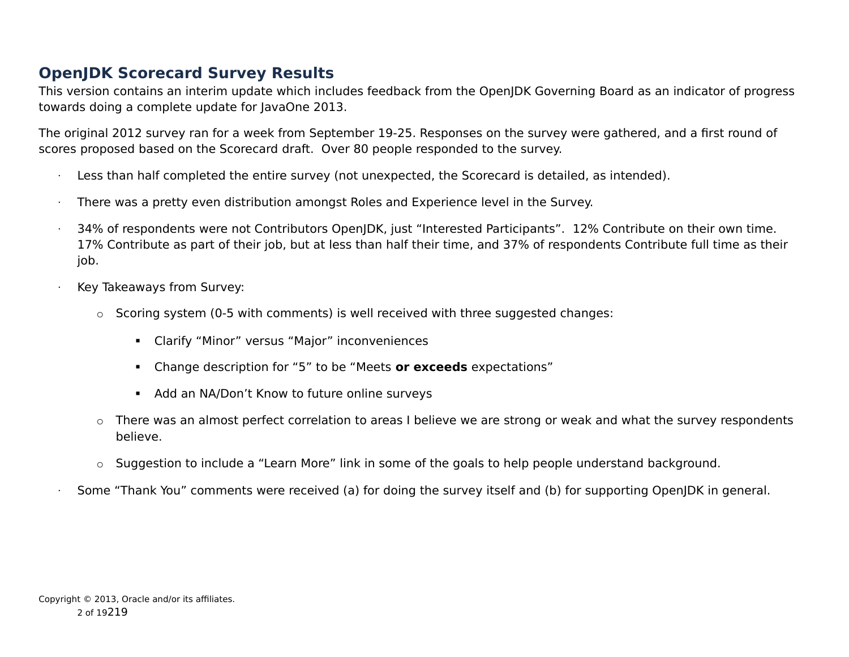## **OpenJDK Scorecard Survey Results**

This version contains an interim update which includes feedback from the OpenJDK Governing Board as an indicator of progress towards doing a complete update for JavaOne 2013.

The original 2012 survey ran for a week from September 19-25. Responses on the survey were gathered, and a first round of scores proposed based on the Scorecard draft. Over 80 people responded to the survey.

- Less than half completed the entire survey (not unexpected, the Scorecard is detailed, as intended).
- $\cdot$  There was a pretty even distribution amongst Roles and Experience level in the Survey.
- · 34% of respondents were not Contributors OpenJDK, just "Interested Participants". 12% Contribute on their own time. 17% Contribute as part of their job, but at less than half their time, and 37% of respondents Contribute full time as their job.
- · Key Takeaways from Survey:
	- o Scoring system (0-5 with comments) is well received with three suggested changes:
		- Clarify "Minor" versus "Major" inconveniences
		- Change description for "5" to be "Meets **or exceeds** expectations"
		- Add an NA/Don't Know to future online surveys
	- $\circ$  There was an almost perfect correlation to areas I believe we are strong or weak and what the survey respondents believe.
	- o Suggestion to include a "Learn More" link in some of the goals to help people understand background.
	- Some "Thank You" comments were received (a) for doing the survey itself and (b) for supporting OpenJDK in general.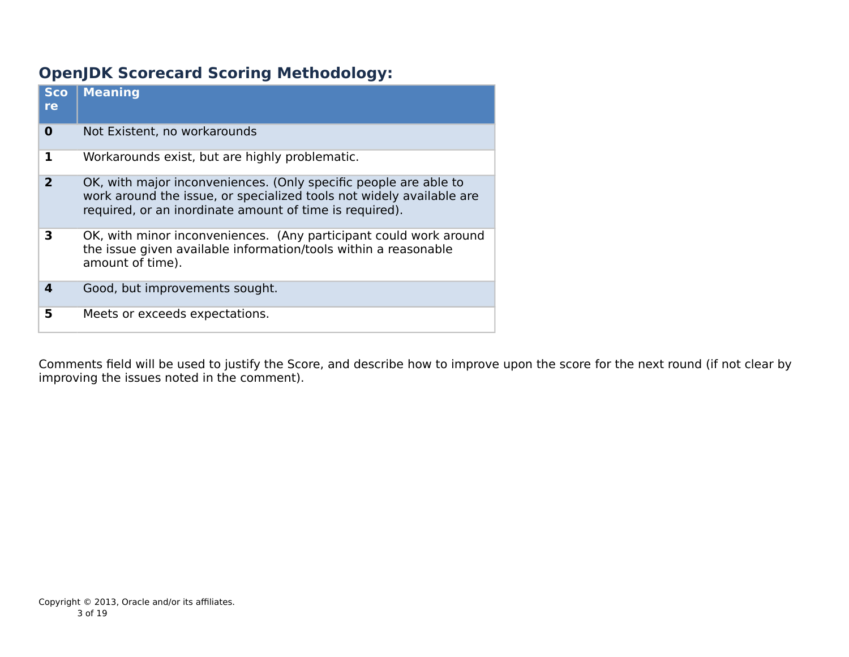# **OpenJDK Scorecard Scoring Methodology:**

| <b>Sco</b><br>re | <b>Meaning</b>                                                                                                                                                                                      |
|------------------|-----------------------------------------------------------------------------------------------------------------------------------------------------------------------------------------------------|
| 0                | Not Existent, no workarounds                                                                                                                                                                        |
|                  | Workarounds exist, but are highly problematic.                                                                                                                                                      |
| 2                | OK, with major inconveniences. (Only specific people are able to<br>work around the issue, or specialized tools not widely available are<br>required, or an inordinate amount of time is required). |
| 3                | OK, with minor inconveniences. (Any participant could work around<br>the issue given available information/tools within a reasonable<br>amount of time).                                            |
| 4                | Good, but improvements sought.                                                                                                                                                                      |
| 5                | Meets or exceeds expectations.                                                                                                                                                                      |

Comments field will be used to justify the Score, and describe how to improve upon the score for the next round (if not clear by improving the issues noted in the comment).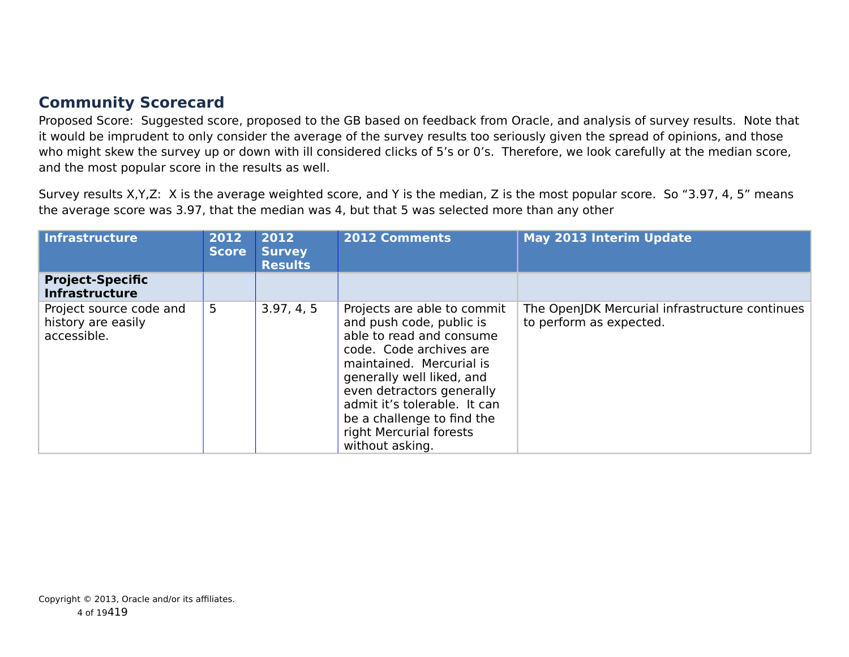## **Community Scorecard**

Proposed Score: Suggested score, proposed to the GB based on feedback from Oracle, and analysis of survey results. Note that it would be imprudent to only consider the average of the survey results too seriously given the spread of opinions, and those who might skew the survey up or down with ill considered clicks of 5's or 0's. Therefore, we look carefully at the median score, and the most popular score in the results as well.

Survey results X,Y,Z: X is the average weighted score, and Y is the median, Z is the most popular score. So "3.97, 4, 5" means the average score was 3.97, that the median was 4, but that 5 was selected more than any other

| Infrastructure                                               | 2012<br><b>Score</b> | 2012<br><b>Survey</b><br>Results | <b>2012 Comments</b>                                                                                                                                                                                                                                                                                             | <b>May 2013 Interim Update</b>                                            |
|--------------------------------------------------------------|----------------------|----------------------------------|------------------------------------------------------------------------------------------------------------------------------------------------------------------------------------------------------------------------------------------------------------------------------------------------------------------|---------------------------------------------------------------------------|
| <b>Project-Specific</b><br><b>Infrastructure</b>             |                      |                                  |                                                                                                                                                                                                                                                                                                                  |                                                                           |
| Project source code and<br>history are easily<br>accessible. | $5\phantom{.}$       | 3.97, 4, 5                       | Projects are able to commit<br>and push code, public is<br>able to read and consume<br>code. Code archives are<br>maintained. Mercurial is<br>generally well liked, and<br>even detractors generally<br>admit it's tolerable. It can<br>be a challenge to find the<br>right Mercurial forests<br>without asking. | The OpenJDK Mercurial infrastructure continues<br>to perform as expected. |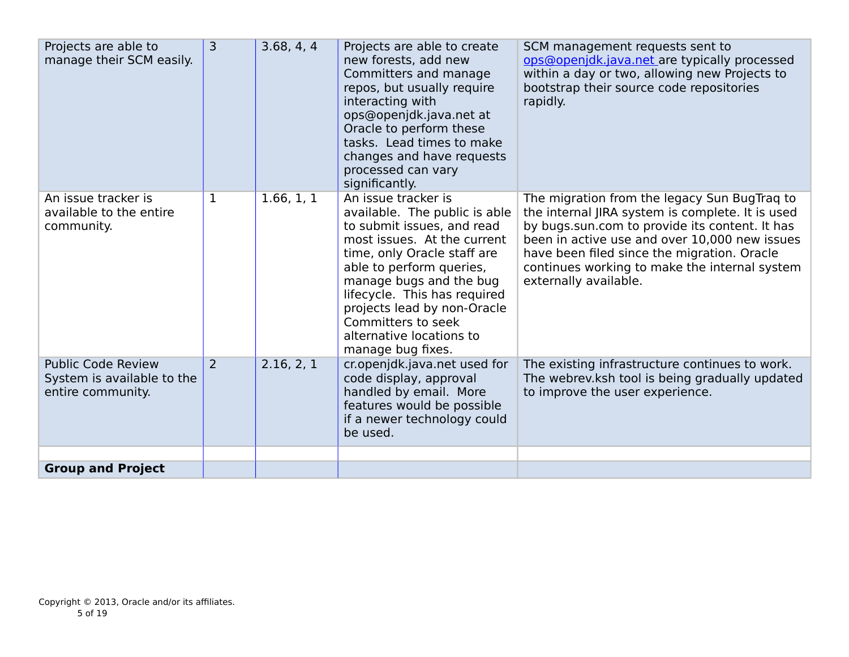| Projects are able to<br>manage their SCM easily.                             | $\overline{3}$ | 3.68, 4, 4 | Projects are able to create<br>new forests, add new<br>Committers and manage<br>repos, but usually require<br>interacting with<br>ops@openjdk.java.net at<br>Oracle to perform these<br>tasks. Lead times to make<br>changes and have requests<br>processed can vary<br>significantly.                                                        | SCM management requests sent to<br>ops@openjdk.java.net are typically processed<br>within a day or two, allowing new Projects to<br>bootstrap their source code repositories<br>rapidly.                                                                                                                                     |
|------------------------------------------------------------------------------|----------------|------------|-----------------------------------------------------------------------------------------------------------------------------------------------------------------------------------------------------------------------------------------------------------------------------------------------------------------------------------------------|------------------------------------------------------------------------------------------------------------------------------------------------------------------------------------------------------------------------------------------------------------------------------------------------------------------------------|
| An issue tracker is<br>available to the entire<br>community.                 | $\mathbf{1}$   | 1.66, 1, 1 | An issue tracker is<br>available. The public is able<br>to submit issues, and read<br>most issues. At the current<br>time, only Oracle staff are<br>able to perform queries,<br>manage bugs and the bug<br>lifecycle. This has required<br>projects lead by non-Oracle<br>Committers to seek<br>alternative locations to<br>manage bug fixes. | The migration from the legacy Sun BugTrag to<br>the internal JIRA system is complete. It is used<br>by bugs.sun.com to provide its content. It has<br>been in active use and over 10,000 new issues<br>have been filed since the migration. Oracle<br>continues working to make the internal system<br>externally available. |
| <b>Public Code Review</b><br>System is available to the<br>entire community. | 2              | 2.16, 2, 1 | cr.openjdk.java.net used for<br>code display, approval<br>handled by email. More<br>features would be possible<br>if a newer technology could<br>be used.                                                                                                                                                                                     | The existing infrastructure continues to work.<br>The webrev.ksh tool is being gradually updated<br>to improve the user experience.                                                                                                                                                                                          |
|                                                                              |                |            |                                                                                                                                                                                                                                                                                                                                               |                                                                                                                                                                                                                                                                                                                              |
| <b>Group and Project</b>                                                     |                |            |                                                                                                                                                                                                                                                                                                                                               |                                                                                                                                                                                                                                                                                                                              |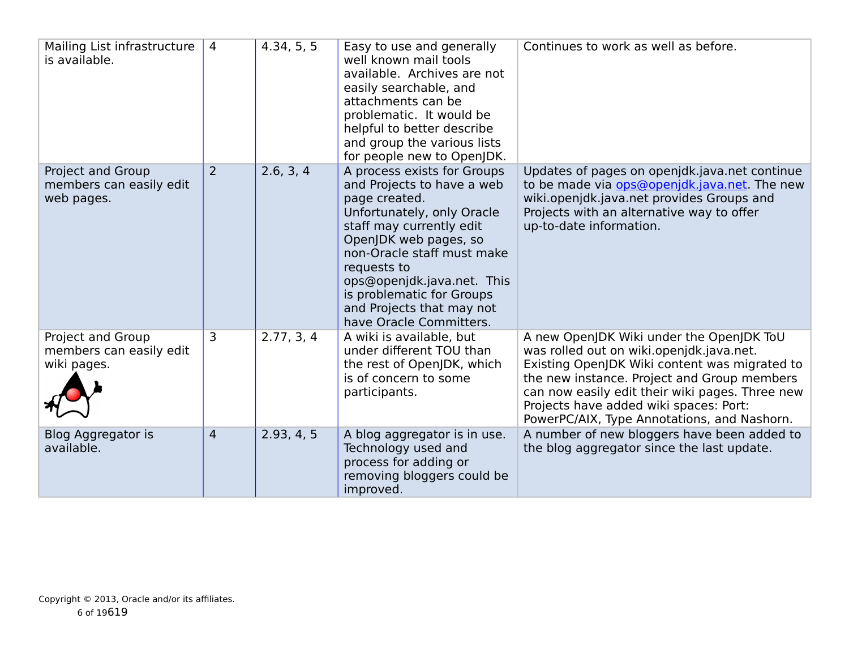| Mailing List infrastructure<br>is available.                | $\overline{4}$ | 4.34, 5, 5 | Easy to use and generally<br>well known mail tools<br>available. Archives are not<br>easily searchable, and<br>attachments can be<br>problematic. It would be<br>helpful to better describe<br>and group the various lists<br>for people new to OpenJDK.                                                                      | Continues to work as well as before.                                                                                                                                                                                                                                                                                             |
|-------------------------------------------------------------|----------------|------------|-------------------------------------------------------------------------------------------------------------------------------------------------------------------------------------------------------------------------------------------------------------------------------------------------------------------------------|----------------------------------------------------------------------------------------------------------------------------------------------------------------------------------------------------------------------------------------------------------------------------------------------------------------------------------|
| Project and Group<br>members can easily edit<br>web pages.  | 2              | 2.6, 3, 4  | A process exists for Groups<br>and Projects to have a web<br>page created.<br>Unfortunately, only Oracle<br>staff may currently edit<br>OpenJDK web pages, so<br>non-Oracle staff must make<br>requests to<br>ops@openjdk.java.net. This<br>is problematic for Groups<br>and Projects that may not<br>have Oracle Committers. | Updates of pages on openjdk.java.net continue<br>to be made via <b>ops@openidk.java.net</b> . The new<br>wiki.openjdk.java.net provides Groups and<br>Projects with an alternative way to offer<br>up-to-date information.                                                                                                       |
| Project and Group<br>members can easily edit<br>wiki pages. | 3              | 2.77, 3, 4 | A wiki is available, but<br>under different TOU than<br>the rest of OpenJDK, which<br>is of concern to some<br>participants.                                                                                                                                                                                                  | A new OpenJDK Wiki under the OpenJDK ToU<br>was rolled out on wiki.openjdk.java.net.<br>Existing OpenJDK Wiki content was migrated to<br>the new instance. Project and Group members<br>can now easily edit their wiki pages. Three new<br>Projects have added wiki spaces: Port:<br>PowerPC/AIX, Type Annotations, and Nashorn. |
| Blog Aggregator is<br>available.                            | $\overline{4}$ | 2.93, 4, 5 | A blog aggregator is in use.<br>Technology used and<br>process for adding or<br>removing bloggers could be<br>improved.                                                                                                                                                                                                       | A number of new bloggers have been added to<br>the blog aggregator since the last update.                                                                                                                                                                                                                                        |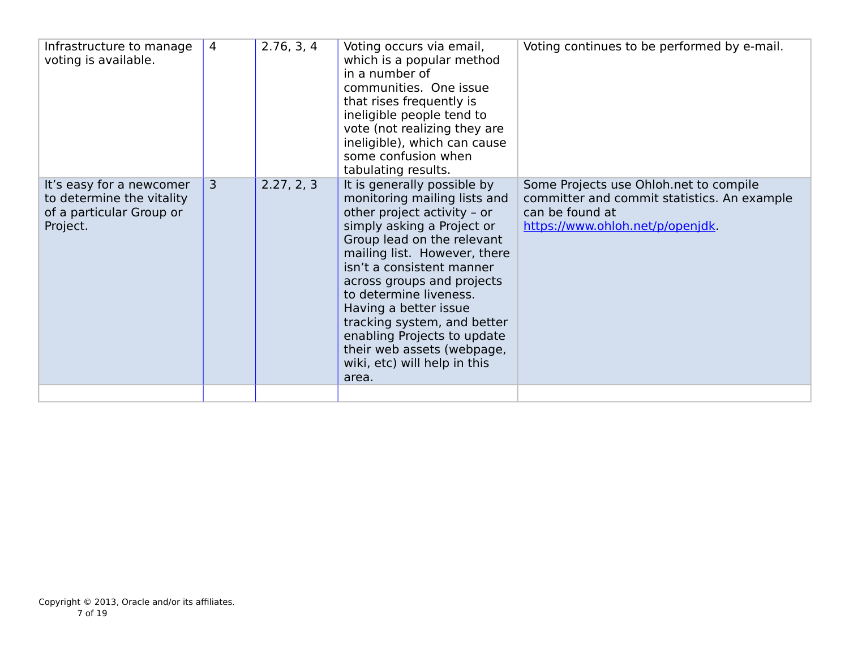| Infrastructure to manage<br>voting is available.                                              | $\overline{4}$ | 2.76, 3, 4 | Voting occurs via email,<br>which is a popular method<br>in a number of<br>communities. One issue<br>that rises frequently is<br>ineligible people tend to<br>vote (not realizing they are<br>ineligible), which can cause<br>some confusion when<br>tabulating results.                                                                                                                                                                  | Voting continues to be performed by e-mail.                                                                                                  |
|-----------------------------------------------------------------------------------------------|----------------|------------|-------------------------------------------------------------------------------------------------------------------------------------------------------------------------------------------------------------------------------------------------------------------------------------------------------------------------------------------------------------------------------------------------------------------------------------------|----------------------------------------------------------------------------------------------------------------------------------------------|
| It's easy for a newcomer<br>to determine the vitality<br>of a particular Group or<br>Project. | $\overline{3}$ | 2.27, 2, 3 | It is generally possible by<br>monitoring mailing lists and<br>other project activity - or<br>simply asking a Project or<br>Group lead on the relevant<br>mailing list. However, there<br>isn't a consistent manner<br>across groups and projects<br>to determine liveness.<br>Having a better issue<br>tracking system, and better<br>enabling Projects to update<br>their web assets (webpage,<br>wiki, etc) will help in this<br>area. | Some Projects use Ohloh.net to compile<br>committer and commit statistics. An example<br>can be found at<br>https://www.ohloh.net/p/openjdk. |
|                                                                                               |                |            |                                                                                                                                                                                                                                                                                                                                                                                                                                           |                                                                                                                                              |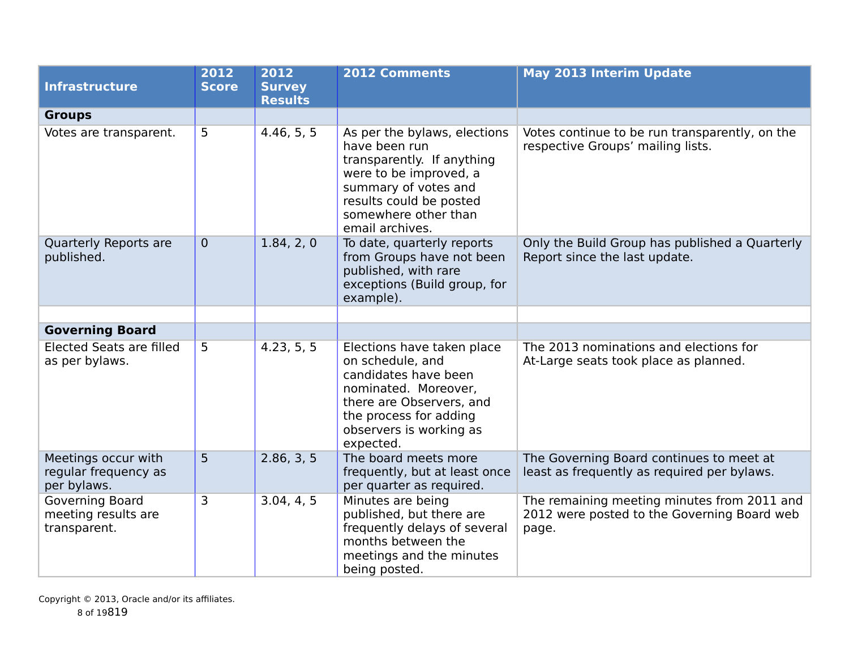| <b>Infrastructure</b>                                         | 2012<br><b>Score</b> | 2012<br><b>Survey</b><br><b>Results</b> | <b>2012 Comments</b>                                                                                                                                                                                | <b>May 2013 Interim Update</b>                                                                      |
|---------------------------------------------------------------|----------------------|-----------------------------------------|-----------------------------------------------------------------------------------------------------------------------------------------------------------------------------------------------------|-----------------------------------------------------------------------------------------------------|
| <b>Groups</b>                                                 |                      |                                         |                                                                                                                                                                                                     |                                                                                                     |
| Votes are transparent.                                        | 5                    | 4.46, 5, 5                              | As per the bylaws, elections<br>have been run<br>transparently. If anything<br>were to be improved, a<br>summary of votes and<br>results could be posted<br>somewhere other than<br>email archives. | Votes continue to be run transparently, on the<br>respective Groups' mailing lists.                 |
| Quarterly Reports are<br>published.                           | $\overline{0}$       | 1.84, 2, 0                              | To date, quarterly reports<br>from Groups have not been<br>published, with rare<br>exceptions (Build group, for<br>example).                                                                        | Only the Build Group has published a Quarterly<br>Report since the last update.                     |
|                                                               |                      |                                         |                                                                                                                                                                                                     |                                                                                                     |
| <b>Governing Board</b>                                        |                      |                                         |                                                                                                                                                                                                     |                                                                                                     |
| <b>Elected Seats are filled</b><br>as per bylaws.             | 5                    | 4.23, 5, 5                              | Elections have taken place<br>on schedule, and<br>candidates have been<br>nominated. Moreover,<br>there are Observers, and<br>the process for adding<br>observers is working as<br>expected.        | The 2013 nominations and elections for<br>At-Large seats took place as planned.                     |
| Meetings occur with<br>regular frequency as<br>per bylaws.    | 5                    | 2.86, 3, 5                              | The board meets more<br>frequently, but at least once<br>per quarter as required.                                                                                                                   | The Governing Board continues to meet at<br>least as frequently as required per bylaws.             |
| <b>Governing Board</b><br>meeting results are<br>transparent. | 3                    | 3.04, 4, 5                              | Minutes are being<br>published, but there are<br>frequently delays of several<br>months between the<br>meetings and the minutes<br>being posted.                                                    | The remaining meeting minutes from 2011 and<br>2012 were posted to the Governing Board web<br>page. |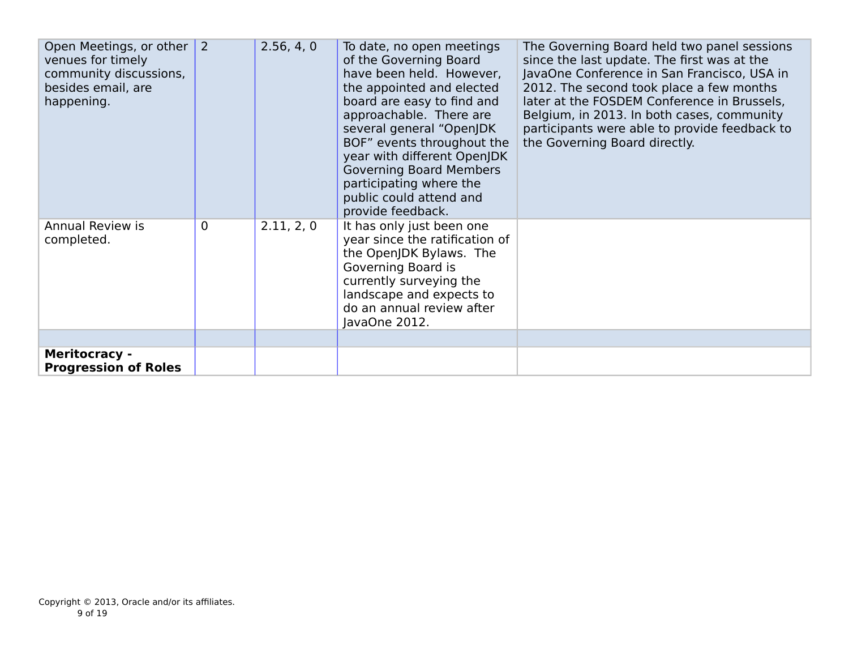| Open Meetings, or other<br>venues for timely<br>community discussions,<br>besides email, are<br>happening. | $\overline{2}$ | 2.56, 4, 0 | To date, no open meetings<br>of the Governing Board<br>have been held. However,<br>the appointed and elected<br>board are easy to find and<br>approachable. There are<br>several general "OpenJDK<br>BOF" events throughout the<br>year with different OpenJDK<br><b>Governing Board Members</b><br>participating where the<br>public could attend and<br>provide feedback. | The Governing Board held two panel sessions<br>since the last update. The first was at the<br>JavaOne Conference in San Francisco, USA in<br>2012. The second took place a few months<br>later at the FOSDEM Conference in Brussels,<br>Belgium, in 2013. In both cases, community<br>participants were able to provide feedback to<br>the Governing Board directly. |
|------------------------------------------------------------------------------------------------------------|----------------|------------|-----------------------------------------------------------------------------------------------------------------------------------------------------------------------------------------------------------------------------------------------------------------------------------------------------------------------------------------------------------------------------|----------------------------------------------------------------------------------------------------------------------------------------------------------------------------------------------------------------------------------------------------------------------------------------------------------------------------------------------------------------------|
| Annual Review is<br>completed.                                                                             | 0              | 2.11, 2, 0 | It has only just been one<br>year since the ratification of<br>the OpenJDK Bylaws. The<br>Governing Board is<br>currently surveying the<br>landscape and expects to<br>do an annual review after<br>JavaOne 2012.                                                                                                                                                           |                                                                                                                                                                                                                                                                                                                                                                      |
|                                                                                                            |                |            |                                                                                                                                                                                                                                                                                                                                                                             |                                                                                                                                                                                                                                                                                                                                                                      |
| <b>Meritocracy -</b><br><b>Progression of Roles</b>                                                        |                |            |                                                                                                                                                                                                                                                                                                                                                                             |                                                                                                                                                                                                                                                                                                                                                                      |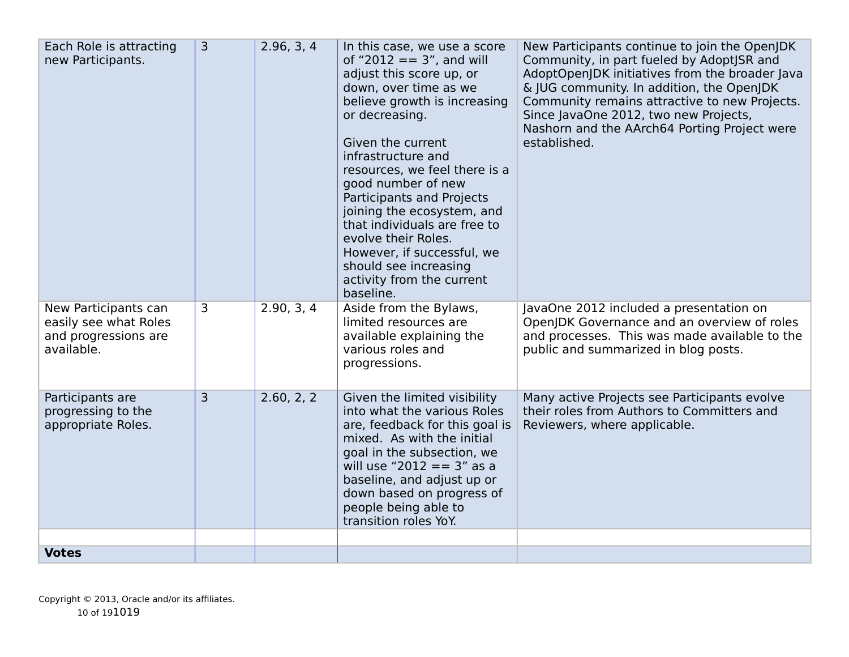| adjust this score up, or<br>AdoptOpenJDK initiatives from the broader Java<br>down, over time as we<br>& JUG community. In addition, the OpenJDK<br>believe growth is increasing<br>Community remains attractive to new Projects.<br>or decreasing.<br>Since JavaOne 2012, two new Projects,<br>Nashorn and the AArch64 Porting Project were<br>Given the current<br>established.<br>infrastructure and<br>resources, we feel there is a<br>good number of new<br>Participants and Projects<br>joining the ecosystem, and<br>that individuals are free to<br>evolve their Roles.<br>However, if successful, we<br>should see increasing<br>activity from the current<br>baseline. |  |
|-----------------------------------------------------------------------------------------------------------------------------------------------------------------------------------------------------------------------------------------------------------------------------------------------------------------------------------------------------------------------------------------------------------------------------------------------------------------------------------------------------------------------------------------------------------------------------------------------------------------------------------------------------------------------------------|--|
| 2.90, 3, 4<br>Aside from the Bylaws,<br>3<br>JavaOne 2012 included a presentation on<br>New Participants can<br>limited resources are<br>OpenJDK Governance and an overview of roles<br>easily see what Roles<br>and processes. This was made available to the<br>and progressions are<br>available explaining the<br>available.<br>various roles and<br>public and summarized in blog posts.<br>progressions.                                                                                                                                                                                                                                                                    |  |
| 2.60, 2, 2<br>3<br>Many active Projects see Participants evolve<br>Participants are<br>Given the limited visibility<br>into what the various Roles<br>their roles from Authors to Committers and<br>progressing to the<br>appropriate Roles.<br>are, feedback for this goal is<br>Reviewers, where applicable.<br>mixed. As with the initial<br>goal in the subsection, we<br>will use "2012 == $3"$ as a<br>baseline, and adjust up or<br>down based on progress of<br>people being able to<br>transition roles YoY.                                                                                                                                                             |  |
| <b>Votes</b>                                                                                                                                                                                                                                                                                                                                                                                                                                                                                                                                                                                                                                                                      |  |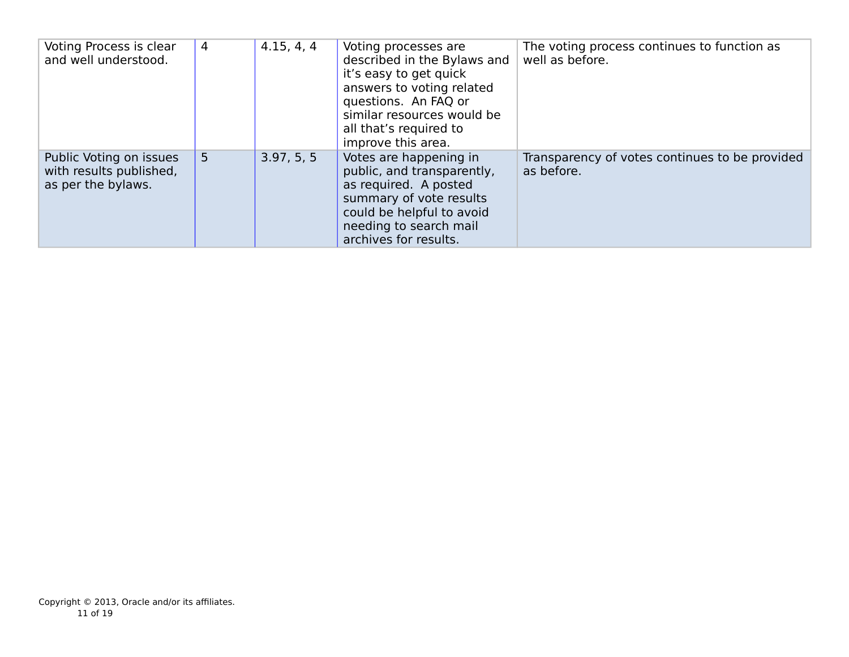| Voting Process is clear<br>and well understood.                          | 4 | 4.15, 4, 4 | Voting processes are<br>described in the Bylaws and<br>it's easy to get quick<br>answers to voting related<br>questions. An FAQ or<br>similar resources would be<br>all that's required to<br>improve this area. | The voting process continues to function as<br>well as before. |
|--------------------------------------------------------------------------|---|------------|------------------------------------------------------------------------------------------------------------------------------------------------------------------------------------------------------------------|----------------------------------------------------------------|
| Public Voting on issues<br>with results published,<br>as per the bylaws. | 5 | 3.97, 5, 5 | Votes are happening in<br>public, and transparently,<br>as required. A posted<br>summary of vote results<br>could be helpful to avoid<br>needing to search mail<br>archives for results.                         | Transparency of votes continues to be provided<br>as before.   |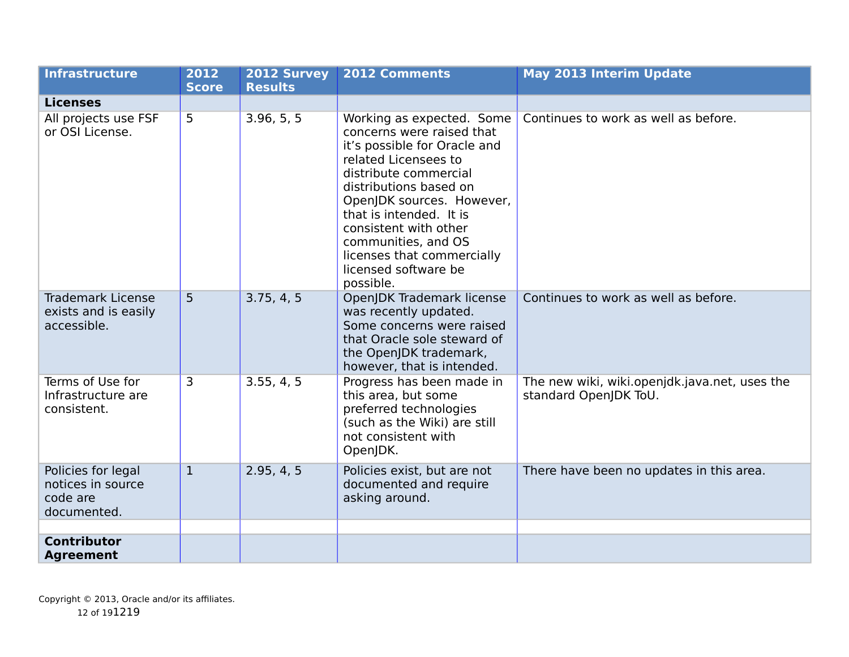| <b>Infrastructure</b>                                              | 2012<br><b>Score</b> | 2012 Survey<br><b>Results</b> | <b>2012 Comments</b>                                                                                                                                                                                                                                                                                                                         | <b>May 2013 Interim Update</b>                                         |
|--------------------------------------------------------------------|----------------------|-------------------------------|----------------------------------------------------------------------------------------------------------------------------------------------------------------------------------------------------------------------------------------------------------------------------------------------------------------------------------------------|------------------------------------------------------------------------|
| <b>Licenses</b>                                                    |                      |                               |                                                                                                                                                                                                                                                                                                                                              |                                                                        |
| All projects use FSF<br>or OSI License.                            | 5                    | 3.96, 5, 5                    | Working as expected. Some<br>concerns were raised that<br>it's possible for Oracle and<br>related Licensees to<br>distribute commercial<br>distributions based on<br>OpenJDK sources. However,<br>that is intended. It is<br>consistent with other<br>communities, and OS<br>licenses that commercially<br>licensed software be<br>possible. | Continues to work as well as before.                                   |
| <b>Trademark License</b><br>exists and is easily<br>accessible.    | 5                    | 3.75, 4, 5                    | OpenJDK Trademark license<br>was recently updated.<br>Some concerns were raised<br>that Oracle sole steward of<br>the OpenJDK trademark,<br>however, that is intended.                                                                                                                                                                       | Continues to work as well as before.                                   |
| Terms of Use for<br>Infrastructure are<br>consistent.              | 3                    | 3.55, 4, 5                    | Progress has been made in<br>this area, but some<br>preferred technologies<br>(such as the Wiki) are still<br>not consistent with<br>OpenJDK.                                                                                                                                                                                                | The new wiki, wiki.openjdk.java.net, uses the<br>standard OpenJDK ToU. |
| Policies for legal<br>notices in source<br>code are<br>documented. | $\mathbf{1}$         | 2.95, 4, 5                    | Policies exist, but are not<br>documented and require<br>asking around.                                                                                                                                                                                                                                                                      | There have been no updates in this area.                               |
|                                                                    |                      |                               |                                                                                                                                                                                                                                                                                                                                              |                                                                        |
| <b>Contributor</b><br><b>Agreement</b>                             |                      |                               |                                                                                                                                                                                                                                                                                                                                              |                                                                        |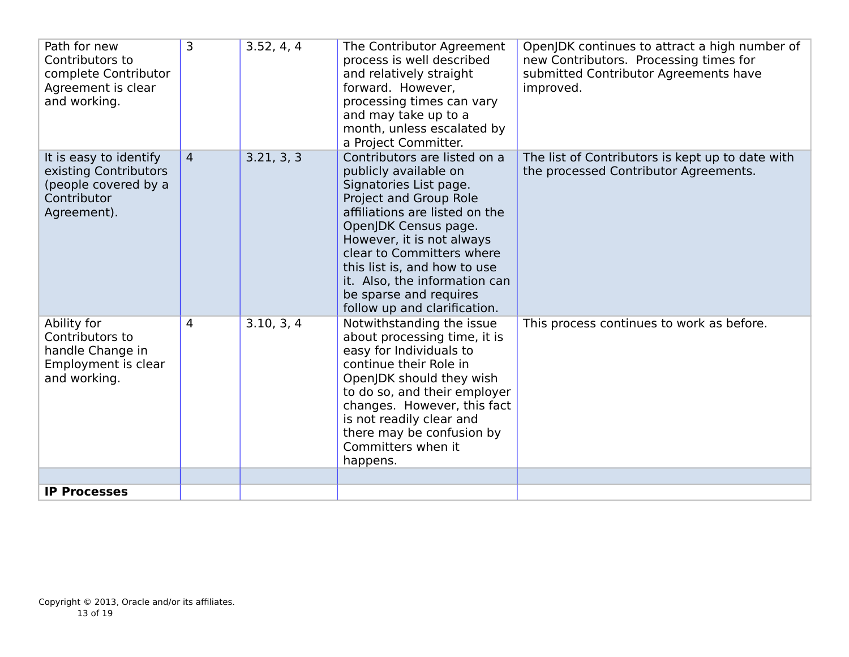| Path for new<br>Contributors to<br>complete Contributor<br>Agreement is clear<br>and working.         | 3              | 3.52, 4, 4 | The Contributor Agreement<br>process is well described<br>and relatively straight<br>forward. However,<br>processing times can vary<br>and may take up to a<br>month, unless escalated by<br>a Project Committer.                                                                                                                                        | OpenJDK continues to attract a high number of<br>new Contributors. Processing times for<br>submitted Contributor Agreements have<br>improved. |
|-------------------------------------------------------------------------------------------------------|----------------|------------|----------------------------------------------------------------------------------------------------------------------------------------------------------------------------------------------------------------------------------------------------------------------------------------------------------------------------------------------------------|-----------------------------------------------------------------------------------------------------------------------------------------------|
| It is easy to identify<br>existing Contributors<br>(people covered by a<br>Contributor<br>Agreement). | $\overline{4}$ | 3.21, 3, 3 | Contributors are listed on a<br>publicly available on<br>Signatories List page.<br>Project and Group Role<br>affiliations are listed on the<br>OpenJDK Census page.<br>However, it is not always<br>clear to Committers where<br>this list is, and how to use<br>it. Also, the information can<br>be sparse and requires<br>follow up and clarification. | The list of Contributors is kept up to date with<br>the processed Contributor Agreements.                                                     |
| Ability for<br>Contributors to<br>handle Change in<br>Employment is clear<br>and working.             | 4              | 3.10, 3, 4 | Notwithstanding the issue<br>about processing time, it is<br>easy for Individuals to<br>continue their Role in<br>OpenJDK should they wish<br>to do so, and their employer<br>changes. However, this fact<br>is not readily clear and<br>there may be confusion by<br>Committers when it<br>happens.                                                     | This process continues to work as before.                                                                                                     |
|                                                                                                       |                |            |                                                                                                                                                                                                                                                                                                                                                          |                                                                                                                                               |
| <b>IP Processes</b>                                                                                   |                |            |                                                                                                                                                                                                                                                                                                                                                          |                                                                                                                                               |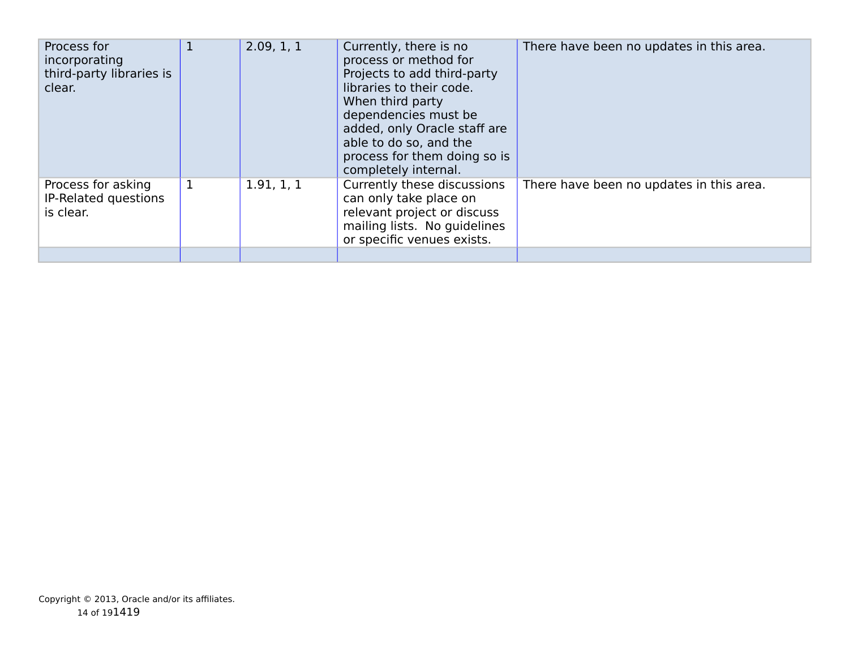| Process for<br>incorporating<br>third-party libraries is<br>clear. | $\mathbf{1}$ | 2.09, 1, 1 | Currently, there is no<br>process or method for<br>Projects to add third-party<br>libraries to their code.<br>When third party<br>dependencies must be<br>added, only Oracle staff are<br>able to do so, and the<br>process for them doing so is<br>completely internal. | There have been no updates in this area. |
|--------------------------------------------------------------------|--------------|------------|--------------------------------------------------------------------------------------------------------------------------------------------------------------------------------------------------------------------------------------------------------------------------|------------------------------------------|
| Process for asking<br>IP-Related questions<br>is clear.            | $\mathbf 1$  | 1.91, 1, 1 | Currently these discussions<br>can only take place on<br>relevant project or discuss<br>mailing lists. No guidelines<br>or specific venues exists.                                                                                                                       | There have been no updates in this area. |
|                                                                    |              |            |                                                                                                                                                                                                                                                                          |                                          |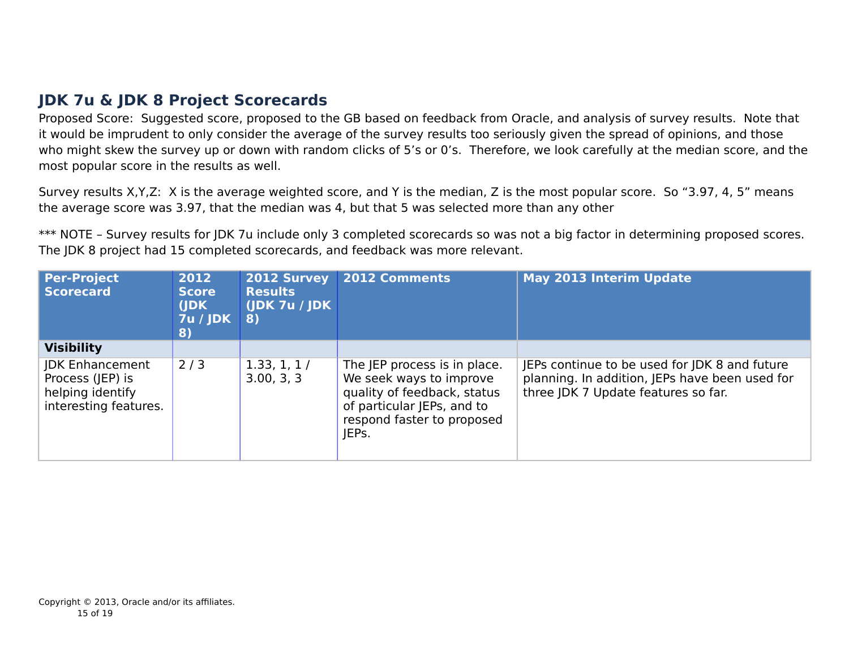## **JDK 7u & JDK 8 Project Scorecards**

Proposed Score: Suggested score, proposed to the GB based on feedback from Oracle, and analysis of survey results. Note that it would be imprudent to only consider the average of the survey results too seriously given the spread of opinions, and those who might skew the survey up or down with random clicks of 5's or 0's. Therefore, we look carefully at the median score, and the most popular score in the results as well.

Survey results X,Y,Z: X is the average weighted score, and Y is the median, Z is the most popular score. So "3.97, 4, 5" means the average score was 3.97, that the median was 4, but that 5 was selected more than any other

\*\*\* NOTE - Survey results for JDK 7u include only 3 completed scorecards so was not a big factor in determining proposed scores. The JDK 8 project had 15 completed scorecards, and feedback was more relevant.

| Per-Project<br><b>Scorecard</b>                                                                              | 2012<br><b>Score</b><br>(JDK<br>$7u /$ JDK<br>8) | <b>2012 Survey</b><br><b>Results</b><br>(JDK 7u / JDK)<br>-8) | 2012 Comments                                                                                                                                               | <b>May 2013 Interim Update</b>                                                                                                         |
|--------------------------------------------------------------------------------------------------------------|--------------------------------------------------|---------------------------------------------------------------|-------------------------------------------------------------------------------------------------------------------------------------------------------------|----------------------------------------------------------------------------------------------------------------------------------------|
| <b>Visibility</b><br><b>JDK Enhancement</b><br>Process (JEP) is<br>helping identify<br>interesting features. | 2/3                                              | 1.33, 1, 1/<br>3.00, 3, 3                                     | The JEP process is in place.<br>We seek ways to improve<br>quality of feedback, status<br>of particular JEPs, and to<br>respond faster to proposed<br>IEPs. | JEPs continue to be used for JDK 8 and future<br>planning. In addition, JEPs have been used for<br>three JDK 7 Update features so far. |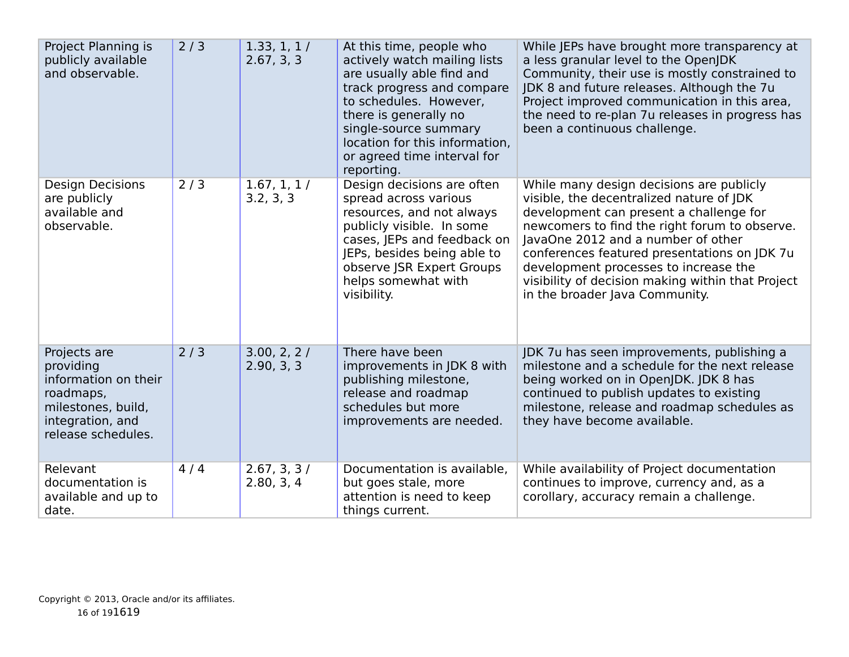| Project Planning is<br>publicly available<br>and observable.                                                                   | 2/3 | 1.33, 1, 1/<br>2.67, 3, 3 | At this time, people who<br>actively watch mailing lists<br>are usually able find and<br>track progress and compare<br>to schedules. However,<br>there is generally no<br>single-source summary<br>location for this information,<br>or agreed time interval for<br>reporting. | While JEPs have brought more transparency at<br>a less granular level to the OpenJDK<br>Community, their use is mostly constrained to<br>JDK 8 and future releases. Although the 7u<br>Project improved communication in this area,<br>the need to re-plan 7u releases in progress has<br>been a continuous challenge.                                                                                 |
|--------------------------------------------------------------------------------------------------------------------------------|-----|---------------------------|--------------------------------------------------------------------------------------------------------------------------------------------------------------------------------------------------------------------------------------------------------------------------------|--------------------------------------------------------------------------------------------------------------------------------------------------------------------------------------------------------------------------------------------------------------------------------------------------------------------------------------------------------------------------------------------------------|
| <b>Design Decisions</b><br>are publicly<br>available and<br>observable.                                                        | 2/3 | 1.67, 1, 1/<br>3.2, 3, 3  | Design decisions are often<br>spread across various<br>resources, and not always<br>publicly visible. In some<br>cases, JEPs and feedback on<br>JEPs, besides being able to<br>observe JSR Expert Groups<br>helps somewhat with<br>visibility.                                 | While many design decisions are publicly<br>visible, the decentralized nature of JDK<br>development can present a challenge for<br>newcomers to find the right forum to observe.<br>JavaOne 2012 and a number of other<br>conferences featured presentations on JDK 7u<br>development processes to increase the<br>visibility of decision making within that Project<br>in the broader Java Community. |
| Projects are<br>providing<br>information on their<br>roadmaps,<br>milestones, build,<br>integration, and<br>release schedules. | 2/3 | 3.00, 2, 2/<br>2.90, 3, 3 | There have been<br>improvements in JDK 8 with<br>publishing milestone,<br>release and roadmap<br>schedules but more<br>improvements are needed.                                                                                                                                | JDK 7u has seen improvements, publishing a<br>milestone and a schedule for the next release<br>being worked on in OpenJDK. JDK 8 has<br>continued to publish updates to existing<br>milestone, release and roadmap schedules as<br>they have become available.                                                                                                                                         |
| Relevant<br>documentation is<br>available and up to<br>date.                                                                   | 4/4 | 2.67, 3, 3/<br>2.80, 3, 4 | Documentation is available,<br>but goes stale, more<br>attention is need to keep<br>things current.                                                                                                                                                                            | While availability of Project documentation<br>continues to improve, currency and, as a<br>corollary, accuracy remain a challenge.                                                                                                                                                                                                                                                                     |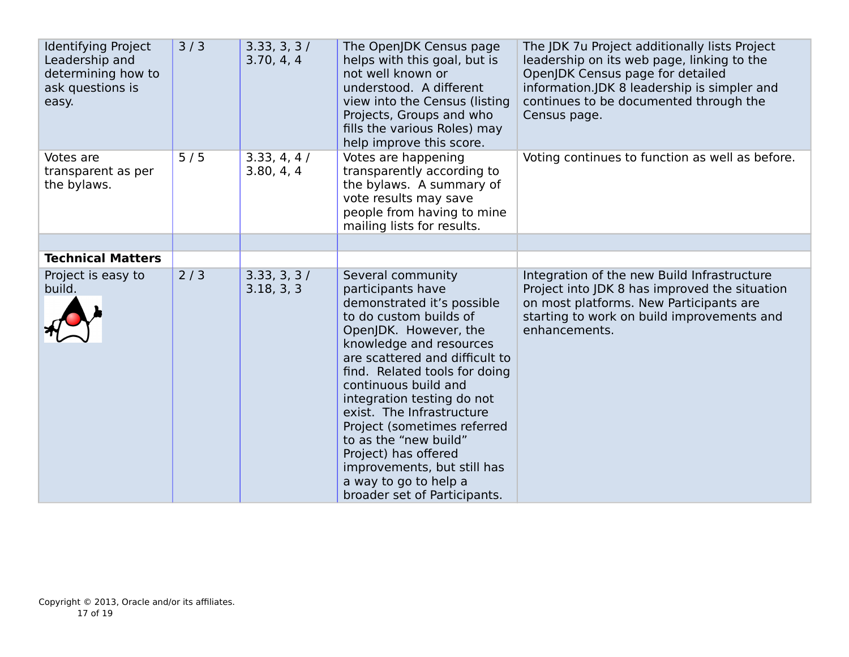| <b>Identifying Project</b><br>Leadership and<br>determining how to<br>ask questions is<br>easy. | 3/3 | 3.33, 3, 3/<br>3.70, 4, 4 | The OpenJDK Census page<br>helps with this goal, but is<br>not well known or<br>understood. A different<br>view into the Census (listing<br>Projects, Groups and who<br>fills the various Roles) may<br>help improve this score.                                                                                                                                                                                                                                                 | The JDK 7u Project additionally lists Project<br>leadership on its web page, linking to the<br>OpenJDK Census page for detailed<br>information.JDK 8 leadership is simpler and<br>continues to be documented through the<br>Census page. |
|-------------------------------------------------------------------------------------------------|-----|---------------------------|----------------------------------------------------------------------------------------------------------------------------------------------------------------------------------------------------------------------------------------------------------------------------------------------------------------------------------------------------------------------------------------------------------------------------------------------------------------------------------|------------------------------------------------------------------------------------------------------------------------------------------------------------------------------------------------------------------------------------------|
| Votes are<br>transparent as per<br>the bylaws.                                                  | 5/5 | 3.33, 4, 4/<br>3.80, 4, 4 | Votes are happening<br>transparently according to<br>the bylaws. A summary of<br>vote results may save<br>people from having to mine<br>mailing lists for results.                                                                                                                                                                                                                                                                                                               | Voting continues to function as well as before.                                                                                                                                                                                          |
|                                                                                                 |     |                           |                                                                                                                                                                                                                                                                                                                                                                                                                                                                                  |                                                                                                                                                                                                                                          |
| <b>Technical Matters</b>                                                                        |     |                           |                                                                                                                                                                                                                                                                                                                                                                                                                                                                                  |                                                                                                                                                                                                                                          |
| Project is easy to<br>build.                                                                    | 2/3 | 3.33, 3, 3/<br>3.18, 3, 3 | Several community<br>participants have<br>demonstrated it's possible<br>to do custom builds of<br>OpenJDK. However, the<br>knowledge and resources<br>are scattered and difficult to<br>find. Related tools for doing<br>continuous build and<br>integration testing do not<br>exist. The Infrastructure<br>Project (sometimes referred<br>to as the "new build"<br>Project) has offered<br>improvements, but still has<br>a way to go to help a<br>broader set of Participants. | Integration of the new Build Infrastructure<br>Project into JDK 8 has improved the situation<br>on most platforms. New Participants are<br>starting to work on build improvements and<br>enhancements.                                   |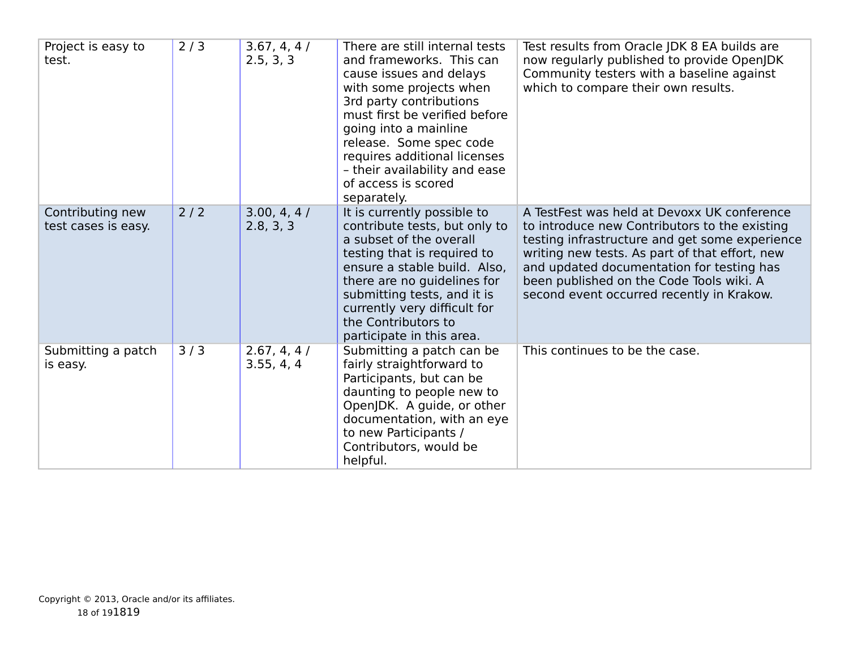| Project is easy to<br>test.             | 2/3 | 3.67, 4, 4/<br>2.5, 3, 3  | There are still internal tests<br>and frameworks. This can<br>cause issues and delays<br>with some projects when<br>3rd party contributions<br>must first be verified before<br>going into a mainline<br>release. Some spec code<br>requires additional licenses<br>- their availability and ease<br>of access is scored<br>separately. | Test results from Oracle JDK 8 EA builds are<br>now regularly published to provide OpenJDK<br>Community testers with a baseline against<br>which to compare their own results.                                                                                                                                                         |
|-----------------------------------------|-----|---------------------------|-----------------------------------------------------------------------------------------------------------------------------------------------------------------------------------------------------------------------------------------------------------------------------------------------------------------------------------------|----------------------------------------------------------------------------------------------------------------------------------------------------------------------------------------------------------------------------------------------------------------------------------------------------------------------------------------|
| Contributing new<br>test cases is easy. | 2/2 | 3.00, 4, 4/<br>2.8, 3, 3  | It is currently possible to<br>contribute tests, but only to<br>a subset of the overall<br>testing that is required to<br>ensure a stable build. Also,<br>there are no guidelines for<br>submitting tests, and it is<br>currently very difficult for<br>the Contributors to<br>participate in this area.                                | A TestFest was held at Devoxx UK conference<br>to introduce new Contributors to the existing<br>testing infrastructure and get some experience<br>writing new tests. As part of that effort, new<br>and updated documentation for testing has<br>been published on the Code Tools wiki. A<br>second event occurred recently in Krakow. |
| Submitting a patch<br>is easy.          | 3/3 | 2.67, 4, 4/<br>3.55, 4, 4 | Submitting a patch can be<br>fairly straightforward to<br>Participants, but can be<br>daunting to people new to<br>OpenJDK. A guide, or other<br>documentation, with an eye<br>to new Participants /<br>Contributors, would be<br>helpful.                                                                                              | This continues to be the case.                                                                                                                                                                                                                                                                                                         |